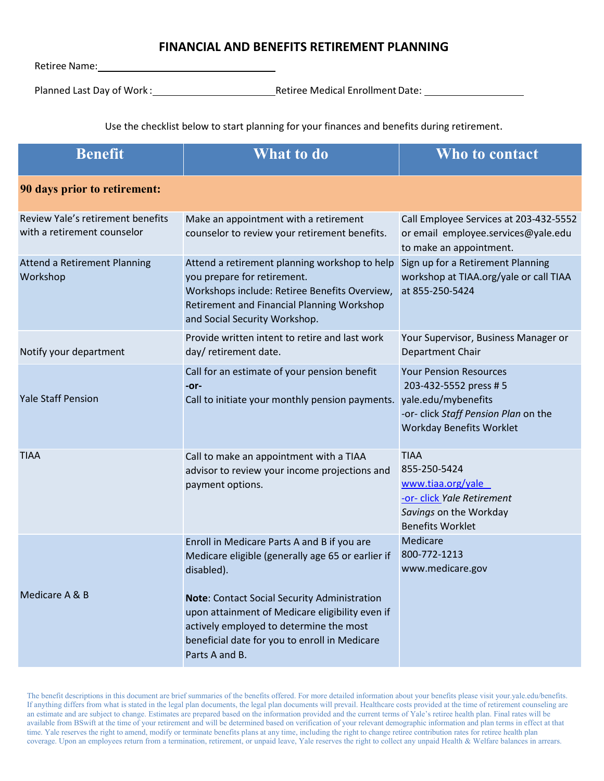## **FINANCIAL AND BENEFITS RETIREMENT PLANNING**

Retiree Name:

Planned Last Day of Work : The Retiree Medical Enrollment Date: Retiree Medical Enrollment Date:

Use the checklist below to start planning for your finances and benefits during retirement.

| <b>Benefit</b>                                                   | <b>What to do</b>                                                                                                                                                                                                    | Who to contact                                                                                                                                            |
|------------------------------------------------------------------|----------------------------------------------------------------------------------------------------------------------------------------------------------------------------------------------------------------------|-----------------------------------------------------------------------------------------------------------------------------------------------------------|
| 90 days prior to retirement:                                     |                                                                                                                                                                                                                      |                                                                                                                                                           |
| Review Yale's retirement benefits<br>with a retirement counselor | Make an appointment with a retirement<br>counselor to review your retirement benefits.                                                                                                                               | Call Employee Services at 203-432-5552<br>or email employee.services@yale.edu<br>to make an appointment.                                                  |
| Attend a Retirement Planning<br>Workshop                         | Attend a retirement planning workshop to help<br>you prepare for retirement.<br>Workshops include: Retiree Benefits Overview,<br>Retirement and Financial Planning Workshop<br>and Social Security Workshop.         | Sign up for a Retirement Planning<br>workshop at TIAA.org/yale or call TIAA<br>at 855-250-5424                                                            |
| Notify your department                                           | Provide written intent to retire and last work<br>day/ retirement date.                                                                                                                                              | Your Supervisor, Business Manager or<br>Department Chair                                                                                                  |
| <b>Yale Staff Pension</b>                                        | Call for an estimate of your pension benefit<br>-or-<br>Call to initiate your monthly pension payments.                                                                                                              | <b>Your Pension Resources</b><br>203-432-5552 press # 5<br>yale.edu/mybenefits<br>-or- click Staff Pension Plan on the<br><b>Workday Benefits Worklet</b> |
| <b>TIAA</b>                                                      | Call to make an appointment with a TIAA<br>advisor to review your income projections and<br>payment options.                                                                                                         | <b>TIAA</b><br>855-250-5424<br>www.tiaa.org/yale<br>-or- click Yale Retirement<br>Savings on the Workday<br><b>Benefits Worklet</b>                       |
|                                                                  | Enroll in Medicare Parts A and B if you are<br>Medicare eligible (generally age 65 or earlier if<br>disabled).                                                                                                       | Medicare<br>800-772-1213<br>www.medicare.gov                                                                                                              |
| Medicare A & B                                                   | <b>Note:</b> Contact Social Security Administration<br>upon attainment of Medicare eligibility even if<br>actively employed to determine the most<br>beneficial date for you to enroll in Medicare<br>Parts A and B. |                                                                                                                                                           |

The benefit descriptions in this document are brief summaries of the benefits offered. For more detailed information about your benefits please visit your.yale.edu/benefits. If anything differs from what is stated in the legal plan documents, the legal plan documents will prevail. Healthcare costs provided at the time of retirement counseling are an estimate and are subject to change. Estimates are prepared based on the information provided and the current terms of Yale's retiree health plan. Final rates will be available from BSwift at the time of your retirement and will be determined based on verification of your relevant demographic information and plan terms in effect at that time. Yale reserves the right to amend, modify or terminate benefits plans at any time, including the right to change retiree contribution rates for retiree health plan coverage. Upon an employees return from a termination, retirement, or unpaid leave, Yale reserves the right to collect any unpaid Health & Welfare balances in arrears.